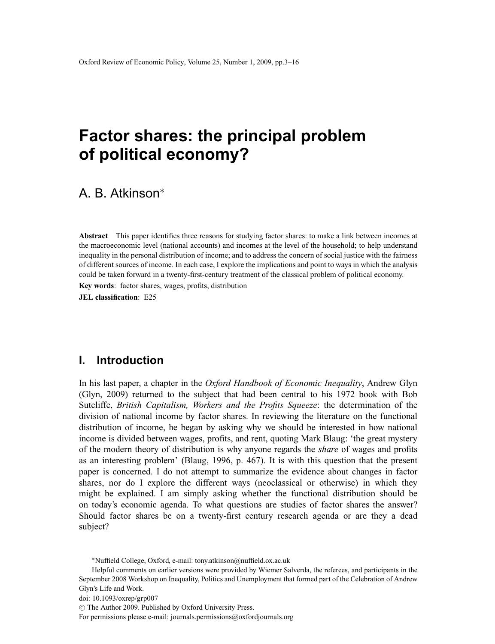# **Factor shares: the principal problem of political economy?**

# A. B. Atkinson∗

**Abstract** This paper identifies three reasons for studying factor shares: to make a link between incomes at the macroeconomic level (national accounts) and incomes at the level of the household; to help understand inequality in the personal distribution of income; and to address the concern of social justice with the fairness of different sources of income. In each case, I explore the implications and point to ways in which the analysis could be taken forward in a twenty-first-century treatment of the classical problem of political economy.

**Key words**: factor shares, wages, profits, distribution **JEL classification**: E25

## **I. Introduction**

In his last paper, a chapter in the *Oxford Handbook of Economic Inequality*, Andrew Glyn (Glyn, 2009) returned to the subject that had been central to his 1972 book with Bob Sutcliffe, *British Capitalism, Workers and the Profits Squeeze*: the determination of the division of national income by factor shares. In reviewing the literature on the functional distribution of income, he began by asking why we should be interested in how national income is divided between wages, profits, and rent, quoting Mark Blaug: 'the great mystery of the modern theory of distribution is why anyone regards the *share* of wages and profits as an interesting problem' (Blaug, 1996, p. 467). It is with this question that the present paper is concerned. I do not attempt to summarize the evidence about changes in factor shares, nor do I explore the different ways (neoclassical or otherwise) in which they might be explained. I am simply asking whether the functional distribution should be on today's economic agenda. To what questions are studies of factor shares the answer? Should factor shares be on a twenty-first century research agenda or are they a dead subject?

<sup>∗</sup>Nuffield College, Oxford, e-mail: tony.atkinson@nuffield.ox.ac.uk

Helpful comments on earlier versions were provided by Wiemer Salverda, the referees, and participants in the September 2008 Workshop on Inequality, Politics and Unemployment that formed part of the Celebration of Andrew Glyn's Life and Work.

doi: 10.1093/oxrep/grp007

 $\circled{c}$  The Author 2009. Published by Oxford University Press.

For permissions please e-mail: journals.permissions@oxfordjournals.org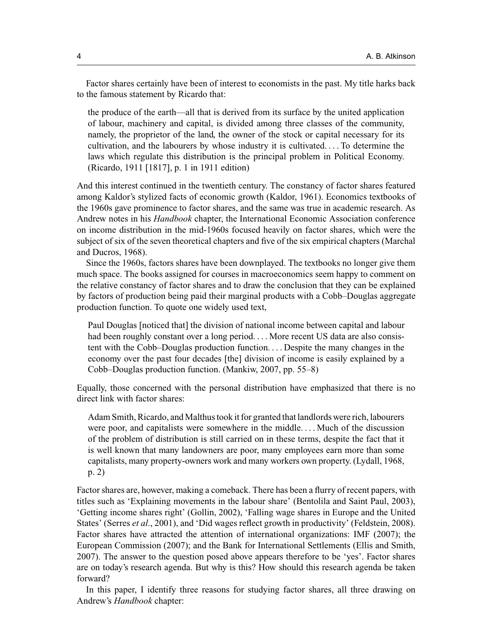Factor shares certainly have been of interest to economists in the past. My title harks back to the famous statement by Ricardo that:

the produce of the earth—all that is derived from its surface by the united application of labour, machinery and capital, is divided among three classes of the community, namely, the proprietor of the land, the owner of the stock or capital necessary for its cultivation, and the labourers by whose industry it is cultivated. ... To determine the laws which regulate this distribution is the principal problem in Political Economy. (Ricardo, 1911 [1817], p. 1 in 1911 edition)

And this interest continued in the twentieth century. The constancy of factor shares featured among Kaldor's stylized facts of economic growth (Kaldor, 1961). Economics textbooks of the 1960s gave prominence to factor shares, and the same was true in academic research. As Andrew notes in his *Handbook* chapter, the International Economic Association conference on income distribution in the mid-1960s focused heavily on factor shares, which were the subject of six of the seven theoretical chapters and five of the six empirical chapters (Marchal and Ducros, 1968).

Since the 1960s, factors shares have been downplayed. The textbooks no longer give them much space. The books assigned for courses in macroeconomics seem happy to comment on the relative constancy of factor shares and to draw the conclusion that they can be explained by factors of production being paid their marginal products with a Cobb–Douglas aggregate production function. To quote one widely used text,

Paul Douglas [noticed that] the division of national income between capital and labour had been roughly constant over a long period.... More recent US data are also consistent with the Cobb–Douglas production function. ... Despite the many changes in the economy over the past four decades [the] division of income is easily explained by a Cobb–Douglas production function. (Mankiw, 2007, pp. 55–8)

Equally, those concerned with the personal distribution have emphasized that there is no direct link with factor shares:

Adam Smith, Ricardo, and Malthus took it for granted that landlords were rich, labourers were poor, and capitalists were somewhere in the middle. ... Much of the discussion of the problem of distribution is still carried on in these terms, despite the fact that it is well known that many landowners are poor, many employees earn more than some capitalists, many property-owners work and many workers own property. (Lydall, 1968, p. 2)

Factor shares are, however, making a comeback. There has been a flurry of recent papers, with titles such as 'Explaining movements in the labour share' (Bentolila and Saint Paul, 2003), 'Getting income shares right' (Gollin, 2002), 'Falling wage shares in Europe and the United States' (Serres *et al*., 2001), and 'Did wages reflect growth in productivity' (Feldstein, 2008). Factor shares have attracted the attention of international organizations: IMF (2007); the European Commission (2007); and the Bank for International Settlements (Ellis and Smith, 2007). The answer to the question posed above appears therefore to be 'yes'. Factor shares are on today's research agenda. But why is this? How should this research agenda be taken forward?

In this paper, I identify three reasons for studying factor shares, all three drawing on Andrew's *Handbook* chapter: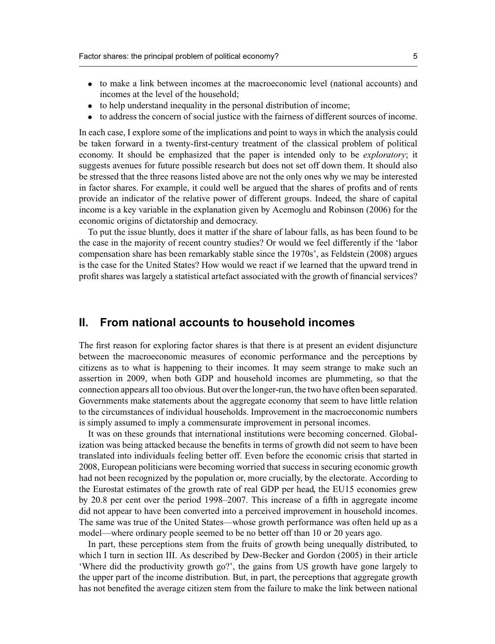- to make a link between incomes at the macroeconomic level (national accounts) and incomes at the level of the household;
- to help understand inequality in the personal distribution of income;<br>• to address the concern of social iustice with the fairness of different s
- to address the concern of social justice with the fairness of different sources of income.

In each case, I explore some of the implications and point to ways in which the analysis could be taken forward in a twenty-first-century treatment of the classical problem of political economy. It should be emphasized that the paper is intended only to be *exploratory*; it suggests avenues for future possible research but does not set off down them. It should also be stressed that the three reasons listed above are not the only ones why we may be interested in factor shares. For example, it could well be argued that the shares of profits and of rents provide an indicator of the relative power of different groups. Indeed, the share of capital income is a key variable in the explanation given by Acemoglu and Robinson (2006) for the economic origins of dictatorship and democracy.

To put the issue bluntly, does it matter if the share of labour falls, as has been found to be the case in the majority of recent country studies? Or would we feel differently if the 'labor compensation share has been remarkably stable since the 1970s', as Feldstein (2008) argues is the case for the United States? How would we react if we learned that the upward trend in profit shares was largely a statistical artefact associated with the growth of financial services?

#### **II. From national accounts to household incomes**

The first reason for exploring factor shares is that there is at present an evident disjuncture between the macroeconomic measures of economic performance and the perceptions by citizens as to what is happening to their incomes. It may seem strange to make such an assertion in 2009, when both GDP and household incomes are plummeting, so that the connection appears all too obvious. But over the longer-run, the two have often been separated. Governments make statements about the aggregate economy that seem to have little relation to the circumstances of individual households. Improvement in the macroeconomic numbers is simply assumed to imply a commensurate improvement in personal incomes.

It was on these grounds that international institutions were becoming concerned. Globalization was being attacked because the benefits in terms of growth did not seem to have been translated into individuals feeling better off. Even before the economic crisis that started in 2008, European politicians were becoming worried that success in securing economic growth had not been recognized by the population or, more crucially, by the electorate. According to the Eurostat estimates of the growth rate of real GDP per head, the EU15 economies grew by 20.8 per cent over the period 1998–2007. This increase of a fifth in aggregate income did not appear to have been converted into a perceived improvement in household incomes. The same was true of the United States—whose growth performance was often held up as a model—where ordinary people seemed to be no better off than 10 or 20 years ago.

In part, these perceptions stem from the fruits of growth being unequally distributed, to which I turn in section III. As described by Dew-Becker and Gordon (2005) in their article 'Where did the productivity growth go?', the gains from US growth have gone largely to the upper part of the income distribution. But, in part, the perceptions that aggregate growth has not benefited the average citizen stem from the failure to make the link between national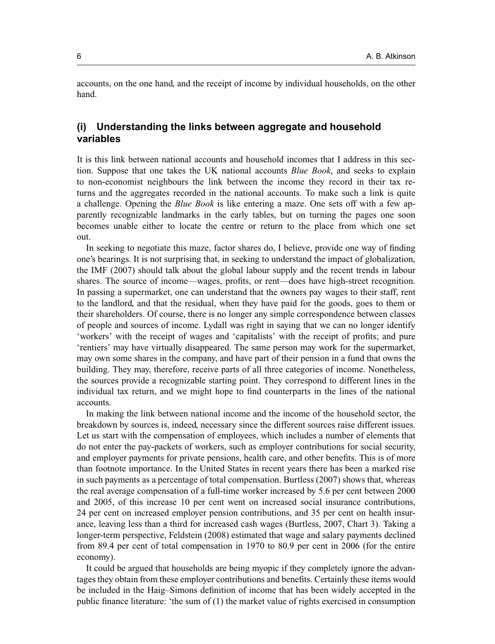accounts, on the one hand, and the receipt of income by individual households, on the other hand.

#### **(i) Understanding the links between aggregate and household variables**

It is this link between national accounts and household incomes that I address in this section. Suppose that one takes the UK national accounts *Blue Book*, and seeks to explain to non-economist neighbours the link between the income they record in their tax returns and the aggregates recorded in the national accounts. To make such a link is quite a challenge. Opening the *Blue Book* is like entering a maze. One sets off with a few apparently recognizable landmarks in the early tables, but on turning the pages one soon becomes unable either to locate the centre or return to the place from which one set out.

In seeking to negotiate this maze, factor shares do, I believe, provide one way of finding one's bearings. It is not surprising that, in seeking to understand the impact of globalization, the IMF (2007) should talk about the global labour supply and the recent trends in labour shares. The source of income—wages, profits, or rent—does have high-street recognition. In passing a supermarket, one can understand that the owners pay wages to their staff, rent to the landlord, and that the residual, when they have paid for the goods, goes to them or their shareholders. Of course, there is no longer any simple correspondence between classes of people and sources of income. Lydall was right in saying that we can no longer identify 'workers' with the receipt of wages and 'capitalists' with the receipt of profits; and pure 'rentiers' may have virtually disappeared. The same person may work for the supermarket, may own some shares in the company, and have part of their pension in a fund that owns the building. They may, therefore, receive parts of all three categories of income. Nonetheless, the sources provide a recognizable starting point. They correspond to different lines in the individual tax return, and we might hope to find counterparts in the lines of the national accounts.

In making the link between national income and the income of the household sector, the breakdown by sources is, indeed, necessary since the different sources raise different issues. Let us start with the compensation of employees, which includes a number of elements that do not enter the pay-packets of workers, such as employer contributions for social security, and employer payments for private pensions, health care, and other benefits. This is of more than footnote importance. In the United States in recent years there has been a marked rise in such payments as a percentage of total compensation. Burtless (2007) shows that, whereas the real average compensation of a full-time worker increased by 5.6 per cent between 2000 and 2005, of this increase 10 per cent went on increased social insurance contributions, 24 per cent on increased employer pension contributions, and 35 per cent on health insurance, leaving less than a third for increased cash wages (Burtless, 2007, Chart 3). Taking a longer-term perspective, Feldstein (2008) estimated that wage and salary payments declined from 89.4 per cent of total compensation in 1970 to 80.9 per cent in 2006 (for the entire economy).

It could be argued that households are being myopic if they completely ignore the advantages they obtain from these employer contributions and benefits. Certainly these items would be included in the Haig–Simons definition of income that has been widely accepted in the public finance literature: 'the sum of (1) the market value of rights exercised in consumption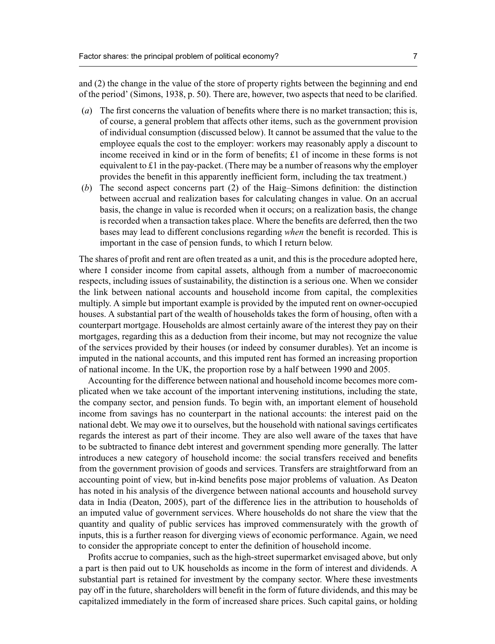and (2) the change in the value of the store of property rights between the beginning and end of the period' (Simons, 1938, p. 50). There are, however, two aspects that need to be clarified.

- (*a*) The first concerns the valuation of benefits where there is no market transaction; this is, of course, a general problem that affects other items, such as the government provision of individual consumption (discussed below). It cannot be assumed that the value to the employee equals the cost to the employer: workers may reasonably apply a discount to income received in kind or in the form of benefits; £1 of income in these forms is not equivalent to  $\pounds$  in the pay-packet. (There may be a number of reasons why the employer provides the benefit in this apparently inefficient form, including the tax treatment.)
- (*b*) The second aspect concerns part (2) of the Haig–Simons definition: the distinction between accrual and realization bases for calculating changes in value. On an accrual basis, the change in value is recorded when it occurs; on a realization basis, the change is recorded when a transaction takes place. Where the benefits are deferred, then the two bases may lead to different conclusions regarding *when* the benefit is recorded. This is important in the case of pension funds, to which I return below.

The shares of profit and rent are often treated as a unit, and this is the procedure adopted here, where I consider income from capital assets, although from a number of macroeconomic respects, including issues of sustainability, the distinction is a serious one. When we consider the link between national accounts and household income from capital, the complexities multiply. A simple but important example is provided by the imputed rent on owner-occupied houses. A substantial part of the wealth of households takes the form of housing, often with a counterpart mortgage. Households are almost certainly aware of the interest they pay on their mortgages, regarding this as a deduction from their income, but may not recognize the value of the services provided by their houses (or indeed by consumer durables). Yet an income is imputed in the national accounts, and this imputed rent has formed an increasing proportion of national income. In the UK, the proportion rose by a half between 1990 and 2005.

Accounting for the difference between national and household income becomes more complicated when we take account of the important intervening institutions, including the state, the company sector, and pension funds. To begin with, an important element of household income from savings has no counterpart in the national accounts: the interest paid on the national debt. We may owe it to ourselves, but the household with national savings certificates regards the interest as part of their income. They are also well aware of the taxes that have to be subtracted to finance debt interest and government spending more generally. The latter introduces a new category of household income: the social transfers received and benefits from the government provision of goods and services. Transfers are straightforward from an accounting point of view, but in-kind benefits pose major problems of valuation. As Deaton has noted in his analysis of the divergence between national accounts and household survey data in India (Deaton, 2005), part of the difference lies in the attribution to households of an imputed value of government services. Where households do not share the view that the quantity and quality of public services has improved commensurately with the growth of inputs, this is a further reason for diverging views of economic performance. Again, we need to consider the appropriate concept to enter the definition of household income.

Profits accrue to companies, such as the high-street supermarket envisaged above, but only a part is then paid out to UK households as income in the form of interest and dividends. A substantial part is retained for investment by the company sector. Where these investments pay off in the future, shareholders will benefit in the form of future dividends, and this may be capitalized immediately in the form of increased share prices. Such capital gains, or holding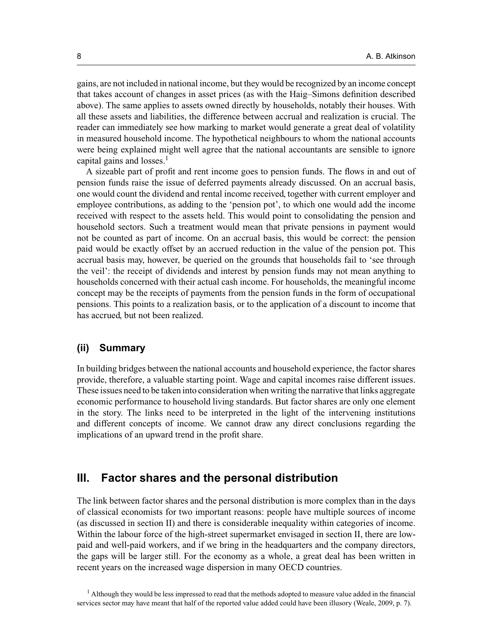gains, are not included in national income, but they would be recognized by an income concept that takes account of changes in asset prices (as with the Haig–Simons definition described above). The same applies to assets owned directly by households, notably their houses. With all these assets and liabilities, the difference between accrual and realization is crucial. The reader can immediately see how marking to market would generate a great deal of volatility in measured household income. The hypothetical neighbours to whom the national accounts were being explained might well agree that the national accountants are sensible to ignore capital gains and losses.<sup>1</sup>

A sizeable part of profit and rent income goes to pension funds. The flows in and out of pension funds raise the issue of deferred payments already discussed. On an accrual basis, one would count the dividend and rental income received, together with current employer and employee contributions, as adding to the 'pension pot', to which one would add the income received with respect to the assets held. This would point to consolidating the pension and household sectors. Such a treatment would mean that private pensions in payment would not be counted as part of income. On an accrual basis, this would be correct: the pension paid would be exactly offset by an accrued reduction in the value of the pension pot. This accrual basis may, however, be queried on the grounds that households fail to 'see through the veil': the receipt of dividends and interest by pension funds may not mean anything to households concerned with their actual cash income. For households, the meaningful income concept may be the receipts of payments from the pension funds in the form of occupational pensions. This points to a realization basis, or to the application of a discount to income that has accrued, but not been realized.

#### **(ii) Summary**

In building bridges between the national accounts and household experience, the factor shares provide, therefore, a valuable starting point. Wage and capital incomes raise different issues. These issues need to be taken into consideration when writing the narrative that links aggregate economic performance to household living standards. But factor shares are only one element in the story. The links need to be interpreted in the light of the intervening institutions and different concepts of income. We cannot draw any direct conclusions regarding the implications of an upward trend in the profit share.

#### **III. Factor shares and the personal distribution**

The link between factor shares and the personal distribution is more complex than in the days of classical economists for two important reasons: people have multiple sources of income (as discussed in section II) and there is considerable inequality within categories of income. Within the labour force of the high-street supermarket envisaged in section II, there are lowpaid and well-paid workers, and if we bring in the headquarters and the company directors, the gaps will be larger still. For the economy as a whole, a great deal has been written in recent years on the increased wage dispersion in many OECD countries.

 $<sup>1</sup>$  Although they would be less impressed to read that the methods adopted to measure value added in the financial</sup> services sector may have meant that half of the reported value added could have been illusory (Weale, 2009, p. 7).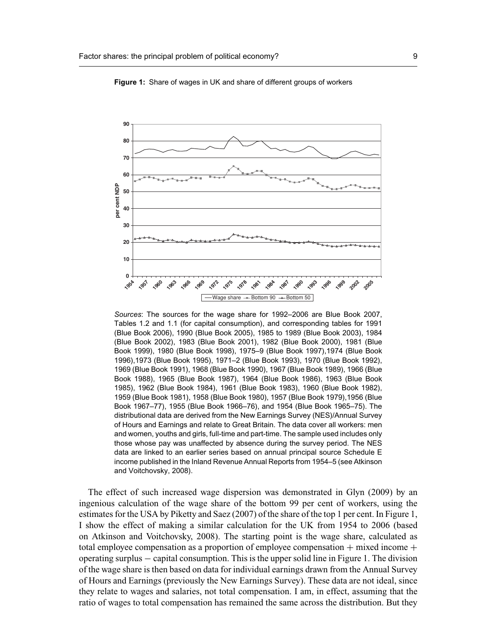

**Figure 1:** Share of wages in UK and share of different groups of workers

*Sources*: The sources for the wage share for 1992–2006 are Blue Book 2007, Tables 1.2 and 1.1 (for capital consumption), and corresponding tables for 1991 (Blue Book 2006), 1990 (Blue Book 2005), 1985 to 1989 (Blue Book 2003), 1984 (Blue Book 2002), 1983 (Blue Book 2001), 1982 (Blue Book 2000), 1981 (Blue Book 1999), 1980 (Blue Book 1998), 1975–9 (Blue Book 1997),1974 (Blue Book 1996),1973 (Blue Book 1995), 1971–2 (Blue Book 1993), 1970 (Blue Book 1992), 1969 (Blue Book 1991), 1968 (Blue Book 1990), 1967 (Blue Book 1989), 1966 (Blue Book 1988), 1965 (Blue Book 1987), 1964 (Blue Book 1986), 1963 (Blue Book 1985), 1962 (Blue Book 1984), 1961 (Blue Book 1983), 1960 (Blue Book 1982), 1959 (Blue Book 1981), 1958 (Blue Book 1980), 1957 (Blue Book 1979),1956 (Blue Book 1967–77), 1955 (Blue Book 1966–76), and 1954 (Blue Book 1965–75). The distributional data are derived from the New Earnings Survey (NES)/Annual Survey of Hours and Earnings and relate to Great Britain. The data cover all workers: men and women, youths and girls, full-time and part-time. The sample used includes only those whose pay was unaffected by absence during the survey period. The NES data are linked to an earlier series based on annual principal source Schedule E income published in the Inland Revenue Annual Reports from 1954–5 (see Atkinson and Voitchovsky, 2008).

The effect of such increased wage dispersion was demonstrated in Glyn (2009) by an ingenious calculation of the wage share of the bottom 99 per cent of workers, using the estimates for the USA by Piketty and Saez (2007) of the share of the top 1 per cent. In Figure 1, I show the effect of making a similar calculation for the UK from 1954 to 2006 (based on Atkinson and Voitchovsky, 2008). The starting point is the wage share, calculated as total employee compensation as a proportion of employee compensation  $+$  mixed income  $+$ operating surplus − capital consumption. This is the upper solid line in Figure 1. The division of the wage share is then based on data for individual earnings drawn from the Annual Survey of Hours and Earnings (previously the New Earnings Survey). These data are not ideal, since they relate to wages and salaries, not total compensation. I am, in effect, assuming that the ratio of wages to total compensation has remained the same across the distribution. But they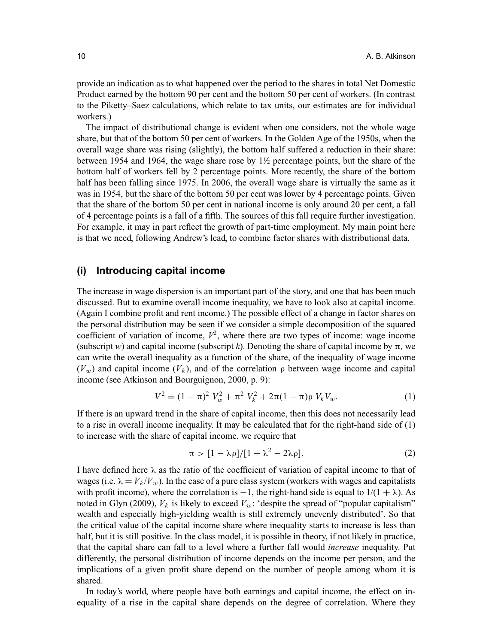provide an indication as to what happened over the period to the shares in total Net Domestic Product earned by the bottom 90 per cent and the bottom 50 per cent of workers. (In contrast to the Piketty–Saez calculations, which relate to tax units, our estimates are for individual workers.)

The impact of distributional change is evident when one considers, not the whole wage share, but that of the bottom 50 per cent of workers. In the Golden Age of the 1950s, when the overall wage share was rising (slightly), the bottom half suffered a reduction in their share: between 1954 and 1964, the wage share rose by 1½ percentage points, but the share of the bottom half of workers fell by 2 percentage points. More recently, the share of the bottom half has been falling since 1975. In 2006, the overall wage share is virtually the same as it was in 1954, but the share of the bottom 50 per cent was lower by 4 percentage points. Given that the share of the bottom 50 per cent in national income is only around 20 per cent, a fall of 4 percentage points is a fall of a fifth. The sources of this fall require further investigation. For example, it may in part reflect the growth of part-time employment. My main point here is that we need, following Andrew's lead, to combine factor shares with distributional data.

#### **(i) Introducing capital income**

The increase in wage dispersion is an important part of the story, and one that has been much discussed. But to examine overall income inequality, we have to look also at capital income. (Again I combine profit and rent income.) The possible effect of a change in factor shares on the personal distribution may be seen if we consider a simple decomposition of the squared coefficient of variation of income,  $V^2$ , where there are two types of income: wage income (subscript *w*) and capital income (subscript *k*). Denoting the share of capital income by π*,* we can write the overall inequality as a function of the share, of the inequality of wage income  $(V_w)$  and capital income  $(V_k)$ , and of the correlation  $\rho$  between wage income and capital income (see Atkinson and Bourguignon, 2000, p. 9):

$$
V^{2} = (1 - \pi)^{2} V_{w}^{2} + \pi^{2} V_{k}^{2} + 2\pi (1 - \pi) \rho V_{k} V_{w}.
$$
 (1)

If there is an upward trend in the share of capital income, then this does not necessarily lead to a rise in overall income inequality. It may be calculated that for the right-hand side of (1) to increase with the share of capital income, we require that

$$
\pi > [1 - \lambda \rho]/[1 + \lambda^2 - 2\lambda \rho].
$$
 (2)

I have defined here  $\lambda$  as the ratio of the coefficient of variation of capital income to that of wages (i.e.  $\lambda = V_k / V_w$ ). In the case of a pure class system (workers with wages and capitalists with profit income), where the correlation is  $-1$ , the right-hand side is equal to  $1/(1 + \lambda)$ . As noted in Glyn (2009),  $V_k$  is likely to exceed  $V_w$ : 'despite the spread of "popular capitalism" wealth and especially high-yielding wealth is still extremely unevenly distributed'. So that the critical value of the capital income share where inequality starts to increase is less than half, but it is still positive. In the class model, it is possible in theory, if not likely in practice, that the capital share can fall to a level where a further fall would *increase* inequality. Put differently, the personal distribution of income depends on the income per person, and the implications of a given profit share depend on the number of people among whom it is shared.

In today's world, where people have both earnings and capital income, the effect on inequality of a rise in the capital share depends on the degree of correlation. Where they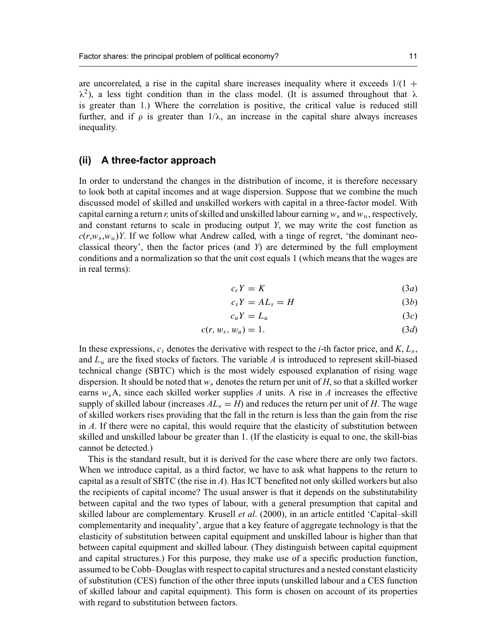are uncorrelated, a rise in the capital share increases inequality where it exceeds  $1/(1 +$  $\lambda^2$ ), a less tight condition than in the class model. (It is assumed throughout that  $\lambda$ is greater than 1.) Where the correlation is positive, the critical value is reduced still further, and if  $\rho$  is greater than  $1/\lambda$ , an increase in the capital share always increases inequality.

#### **(ii) A three-factor approach**

In order to understand the changes in the distribution of income, it is therefore necessary to look both at capital incomes and at wage dispersion. Suppose that we combine the much discussed model of skilled and unskilled workers with capital in a three-factor model. With capital earning a return *r*, units of skilled and unskilled labour earning  $w_s$  and  $w_u$ , respectively, and constant returns to scale in producing output *Y*, we may write the cost function as  $c(r, w_s, w_u)Y$ . If we follow what Andrew called, with a tinge of regret, 'the dominant neoclassical theory', then the factor prices (and *Y*) are determined by the full employment conditions and a normalization so that the unit cost equals 1 (which means that the wages are in real terms):

$$
c_r Y = K \tag{3a}
$$

$$
c_s Y = A L_s = H \tag{3b}
$$

$$
c_u Y = L_u \tag{3c}
$$

$$
c(r, w_s, w_u) = 1. \tag{3d}
$$

In these expressions,  $c_i$  denotes the derivative with respect to the *i*-th factor price, and  $K, L_s$ , and  $L_u$  are the fixed stocks of factors. The variable  $A$  is introduced to represent skill-biased technical change (SBTC) which is the most widely espoused explanation of rising wage dispersion. It should be noted that  $w_s$  denotes the return per unit of  $H$ , so that a skilled worker earns  $w_s$ A, since each skilled worker supplies *A* units. A rise in *A* increases the effective supply of skilled labour (increases  $AL_s = H$ ) and reduces the return per unit of *H*. The wage of skilled workers rises providing that the fall in the return is less than the gain from the rise in *A*. If there were no capital, this would require that the elasticity of substitution between skilled and unskilled labour be greater than 1. (If the elasticity is equal to one, the skill-bias cannot be detected.)

This is the standard result, but it is derived for the case where there are only two factors. When we introduce capital, as a third factor, we have to ask what happens to the return to capital as a result of SBTC (the rise in *A*). Has ICT benefited not only skilled workers but also the recipients of capital income? The usual answer is that it depends on the substitutability between capital and the two types of labour, with a general presumption that capital and skilled labour are complementary. Krusell *et al*. (2000), in an article entitled 'Capital–skill complementarity and inequality', argue that a key feature of aggregate technology is that the elasticity of substitution between capital equipment and unskilled labour is higher than that between capital equipment and skilled labour. (They distinguish between capital equipment and capital structures.) For this purpose, they make use of a specific production function, assumed to be Cobb–Douglas with respect to capital structures and a nested constant elasticity of substitution (CES) function of the other three inputs (unskilled labour and a CES function of skilled labour and capital equipment). This form is chosen on account of its properties with regard to substitution between factors.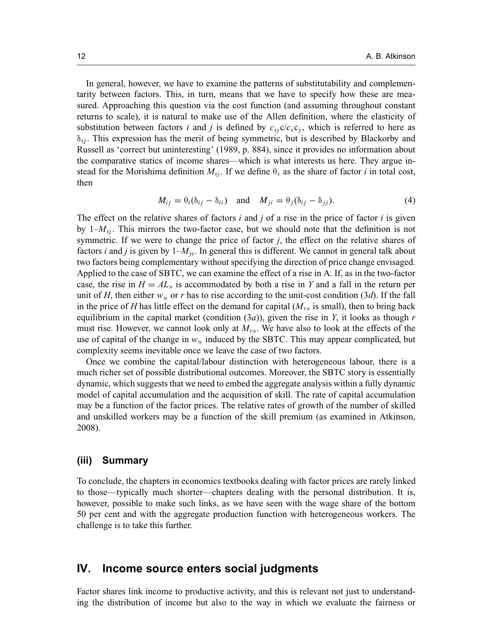In general, however, we have to examine the patterns of substitutability and complementarity between factors. This, in turn, means that we have to specify how these are measured. Approaching this question via the cost function (and assuming throughout constant returns to scale), it is natural to make use of the Allen definition, where the elasticity of substitution between factors *i* and *j* is defined by  $c_{ii} c/c_i c_j$ , which is referred to here as  $\delta_{ij}$ . This expression has the merit of being symmetric, but is described by Blackorby and Russell as 'correct but uninteresting' (1989, p. 884), since it provides no information about the comparative statics of income shares—which is what interests us here. They argue instead for the Morishima definition  $M_{ij}$ . If we define  $\theta_i$  as the share of factor *i* in total cost, then

$$
M_{ij} = \theta_i(\delta_{ij} - \delta_{ii}) \quad \text{and} \quad M_{ji} = \theta_j(\delta_{ij} - \delta_{jj}). \tag{4}
$$

The effect on the relative shares of factors *i* and *j* of a rise in the price of factor *i* is given by  $1-M_{ij}$ . This mirrors the two-factor case, but we should note that the definition is not symmetric. If we were to change the price of factor *j*, the effect on the relative shares of factors *i* and *j* is given by  $1-M_{ji}$ . In general this is different. We cannot in general talk about two factors being complementary without specifying the direction of price change envisaged. Applied to the case of SBTC, we can examine the effect of a rise in A. If, as in the two-factor case, the rise in  $H = AL<sub>s</sub>$  is accommodated by both a rise in *Y* and a fall in the return per unit of *H*, then either  $w_u$  or *r* has to rise according to the unit-cost condition (3*d*). If the fall in the price of *H* has little effect on the demand for capital  $(M_{rs}$  is small), then to bring back equilibrium in the capital market (condition (3*a*)), given the rise in *Y*, it looks as though *r* must rise. However, we cannot look only at  $M_{rs}$ . We have also to look at the effects of the use of capital of the change in  $w_u$  induced by the SBTC. This may appear complicated, but complexity seems inevitable once we leave the case of two factors.

Once we combine the capital/labour distinction with heterogeneous labour, there is a much richer set of possible distributional outcomes. Moreover, the SBTC story is essentially dynamic, which suggests that we need to embed the aggregate analysis within a fully dynamic model of capital accumulation and the acquisition of skill. The rate of capital accumulation may be a function of the factor prices. The relative rates of growth of the number of skilled and unskilled workers may be a function of the skill premium (as examined in Atkinson, 2008).

#### **(iii) Summary**

To conclude, the chapters in economics textbooks dealing with factor prices are rarely linked to those—typically much shorter—chapters dealing with the personal distribution. It is, however, possible to make such links, as we have seen with the wage share of the bottom 50 per cent and with the aggregate production function with heterogeneous workers. The challenge is to take this further.

#### **IV. Income source enters social judgments**

Factor shares link income to productive activity, and this is relevant not just to understanding the distribution of income but also to the way in which we evaluate the fairness or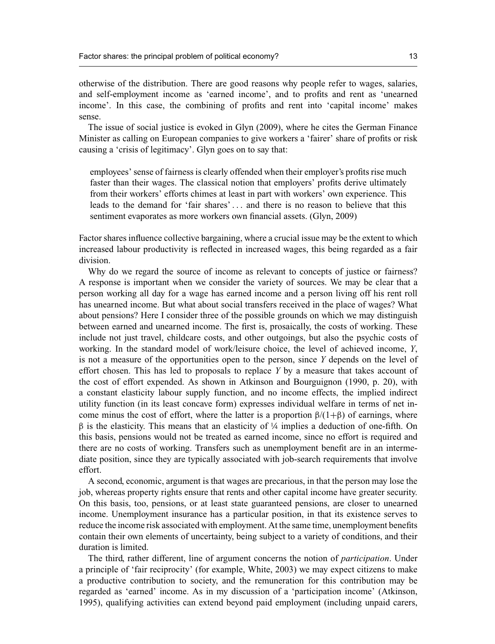otherwise of the distribution. There are good reasons why people refer to wages, salaries, and self-employment income as 'earned income', and to profits and rent as 'unearned income'. In this case, the combining of profits and rent into 'capital income' makes sense.

The issue of social justice is evoked in Glyn (2009), where he cites the German Finance Minister as calling on European companies to give workers a 'fairer' share of profits or risk causing a 'crisis of legitimacy'. Glyn goes on to say that:

employees' sense of fairness is clearly offended when their employer's profits rise much faster than their wages. The classical notion that employers' profits derive ultimately from their workers' efforts chimes at least in part with workers' own experience. This leads to the demand for 'fair shares' ... and there is no reason to believe that this sentiment evaporates as more workers own financial assets. (Glyn, 2009)

Factor shares influence collective bargaining, where a crucial issue may be the extent to which increased labour productivity is reflected in increased wages, this being regarded as a fair division.

Why do we regard the source of income as relevant to concepts of justice or fairness? A response is important when we consider the variety of sources. We may be clear that a person working all day for a wage has earned income and a person living off his rent roll has unearned income. But what about social transfers received in the place of wages? What about pensions? Here I consider three of the possible grounds on which we may distinguish between earned and unearned income. The first is, prosaically, the costs of working. These include not just travel, childcare costs, and other outgoings, but also the psychic costs of working. In the standard model of work/leisure choice, the level of achieved income, *Y*, is not a measure of the opportunities open to the person, since *Y* depends on the level of effort chosen. This has led to proposals to replace *Y* by a measure that takes account of the cost of effort expended. As shown in Atkinson and Bourguignon (1990, p. 20), with a constant elasticity labour supply function, and no income effects, the implied indirect utility function (in its least concave form) expresses individual welfare in terms of net income minus the cost of effort, where the latter is a proportion  $\beta/(1+\beta)$  of earnings, where β is the elasticity. This means that an elasticity of ¼ implies a deduction of one-fifth. On this basis, pensions would not be treated as earned income, since no effort is required and there are no costs of working. Transfers such as unemployment benefit are in an intermediate position, since they are typically associated with job-search requirements that involve effort.

A second, economic, argument is that wages are precarious, in that the person may lose the job, whereas property rights ensure that rents and other capital income have greater security. On this basis, too, pensions, or at least state guaranteed pensions, are closer to unearned income. Unemployment insurance has a particular position, in that its existence serves to reduce the income risk associated with employment. At the same time, unemployment benefits contain their own elements of uncertainty, being subject to a variety of conditions, and their duration is limited.

The third, rather different, line of argument concerns the notion of *participation*. Under a principle of 'fair reciprocity' (for example, White, 2003) we may expect citizens to make a productive contribution to society, and the remuneration for this contribution may be regarded as 'earned' income. As in my discussion of a 'participation income' (Atkinson, 1995), qualifying activities can extend beyond paid employment (including unpaid carers,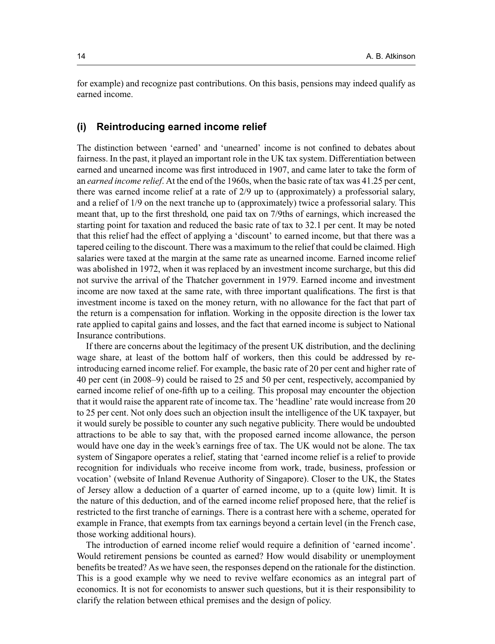for example) and recognize past contributions. On this basis, pensions may indeed qualify as earned income.

#### **(i) Reintroducing earned income relief**

The distinction between 'earned' and 'unearned' income is not confined to debates about fairness. In the past, it played an important role in the UK tax system. Differentiation between earned and unearned income was first introduced in 1907, and came later to take the form of an *earned income relief*. At the end of the 1960s, when the basic rate of tax was 41.25 per cent, there was earned income relief at a rate of 2/9 up to (approximately) a professorial salary, and a relief of 1/9 on the next tranche up to (approximately) twice a professorial salary. This meant that, up to the first threshold, one paid tax on 7/9ths of earnings, which increased the starting point for taxation and reduced the basic rate of tax to 32.1 per cent. It may be noted that this relief had the effect of applying a 'discount' to earned income, but that there was a tapered ceiling to the discount. There was a maximum to the relief that could be claimed. High salaries were taxed at the margin at the same rate as unearned income. Earned income relief was abolished in 1972, when it was replaced by an investment income surcharge, but this did not survive the arrival of the Thatcher government in 1979. Earned income and investment income are now taxed at the same rate, with three important qualifications. The first is that investment income is taxed on the money return, with no allowance for the fact that part of the return is a compensation for inflation. Working in the opposite direction is the lower tax rate applied to capital gains and losses, and the fact that earned income is subject to National Insurance contributions.

If there are concerns about the legitimacy of the present UK distribution, and the declining wage share, at least of the bottom half of workers, then this could be addressed by reintroducing earned income relief. For example, the basic rate of 20 per cent and higher rate of 40 per cent (in 2008–9) could be raised to 25 and 50 per cent, respectively, accompanied by earned income relief of one-fifth up to a ceiling. This proposal may encounter the objection that it would raise the apparent rate of income tax. The 'headline' rate would increase from 20 to 25 per cent. Not only does such an objection insult the intelligence of the UK taxpayer, but it would surely be possible to counter any such negative publicity. There would be undoubted attractions to be able to say that, with the proposed earned income allowance, the person would have one day in the week's earnings free of tax. The UK would not be alone. The tax system of Singapore operates a relief, stating that 'earned income relief is a relief to provide recognition for individuals who receive income from work, trade, business, profession or vocation' (website of Inland Revenue Authority of Singapore). Closer to the UK, the States of Jersey allow a deduction of a quarter of earned income, up to a (quite low) limit. It is the nature of this deduction, and of the earned income relief proposed here, that the relief is restricted to the first tranche of earnings. There is a contrast here with a scheme, operated for example in France, that exempts from tax earnings beyond a certain level (in the French case, those working additional hours).

The introduction of earned income relief would require a definition of 'earned income'. Would retirement pensions be counted as earned? How would disability or unemployment benefits be treated? As we have seen, the responses depend on the rationale for the distinction. This is a good example why we need to revive welfare economics as an integral part of economics. It is not for economists to answer such questions, but it is their responsibility to clarify the relation between ethical premises and the design of policy.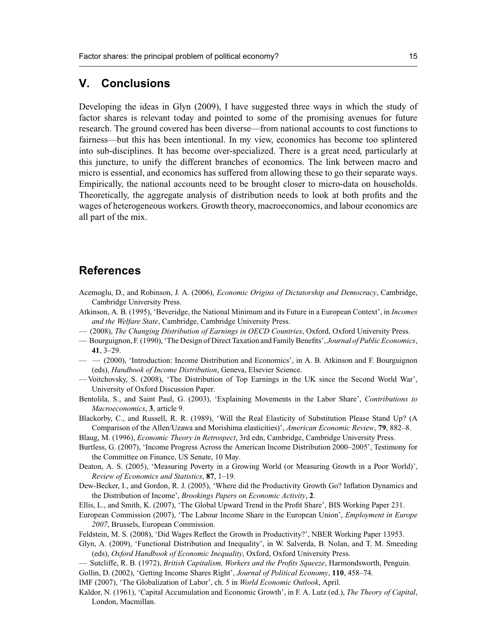## **V. Conclusions**

Developing the ideas in Glyn (2009), I have suggested three ways in which the study of factor shares is relevant today and pointed to some of the promising avenues for future research. The ground covered has been diverse—from national accounts to cost functions to fairness—but this has been intentional. In my view, economics has become too splintered into sub-disciplines. It has become over-specialized. There is a great need, particularly at this juncture, to unify the different branches of economics. The link between macro and micro is essential, and economics has suffered from allowing these to go their separate ways. Empirically, the national accounts need to be brought closer to micro-data on households. Theoretically, the aggregate analysis of distribution needs to look at both profits and the wages of heterogeneous workers. Growth theory, macroeconomics, and labour economics are all part of the mix.

## **References**

- Acemoglu, D., and Robinson, J. A. (2006), *Economic Origins of Dictatorship and Democracy*, Cambridge, Cambridge University Press.
- Atkinson, A. B. (1995), 'Beveridge, the National Minimum and its Future in a European Context', in *Incomes and the Welfare State*, Cambridge, Cambridge University Press.
- (2008), *The Changing Distribution of Earnings in OECD Countries*, Oxford, Oxford University Press.
- Bourguignon, F. (1990), 'The Design of Direct Taxation and Family Benefits', *Journal of Public Economics*, **41**, 3–29.
- $-$  (2000), 'Introduction: Income Distribution and Economics', in A. B. Atkinson and F. Bourguignon (eds), *Handbook of Income Distribution*, Geneva, Elsevier Science.
- Voitchovsky, S. (2008), 'The Distribution of Top Earnings in the UK since the Second World War', University of Oxford Discussion Paper.
- Bentolila, S., and Saint Paul, G. (2003), 'Explaining Movements in the Labor Share', *Contributions to Macroeconomics*, **3**, article 9.

Blackorby, C., and Russell, R. R. (1989), 'Will the Real Elasticity of Substitution Please Stand Up? (A Comparison of the Allen/Uzawa and Morishima elasticities)', *American Economic Review*, **79**, 882–8.

Blaug, M. (1996), *Economic Theory in Retrospect*, 3rd edn, Cambridge, Cambridge University Press.

- Burtless, G. (2007), 'Income Progress Across the American Income Distribution 2000–2005', Testimony for the Committee on Finance, US Senate, 10 May.
- Deaton, A. S. (2005), 'Measuring Poverty in a Growing World (or Measuring Growth in a Poor World)', *Review of Economics and Statistics*, **87**, 1–19.
- Dew-Becker, I., and Gordon, R. J. (2005), 'Where did the Productivity Growth Go? Inflation Dynamics and the Distribution of Income', *Brookings Papers on Economic Activity*, **2**.
- Ellis, L., and Smith, K. (2007), 'The Global Upward Trend in the Profit Share', BIS Working Paper 231.
- European Commission (2007), 'The Labour Income Share in the European Union', *Employment in Europe 2007*, Brussels, European Commission.
- Feldstein, M. S. (2008), 'Did Wages Reflect the Growth in Productivity?', NBER Working Paper 13953.
- Glyn, A. (2009), 'Functional Distribution and Inequality', in W. Salverda, B. Nolan, and T. M. Smeeding (eds), *Oxford Handbook of Economic Inequality*, Oxford, Oxford University Press.
- Sutcliffe, R. B. (1972), *British Capitalism, Workers and the Profits Squeeze*, Harmondsworth, Penguin.

Gollin, D. (2002), 'Getting Income Shares Right', *Journal of Political Economy*, **110**, 458–74.

IMF (2007), 'The Globalization of Labor', ch. 5 in *World Economic Outlook*, April.

Kaldor, N. (1961), 'Capital Accumulation and Economic Growth', in F. A. Lutz (ed.), *The Theory of Capital*, London, Macmillan.